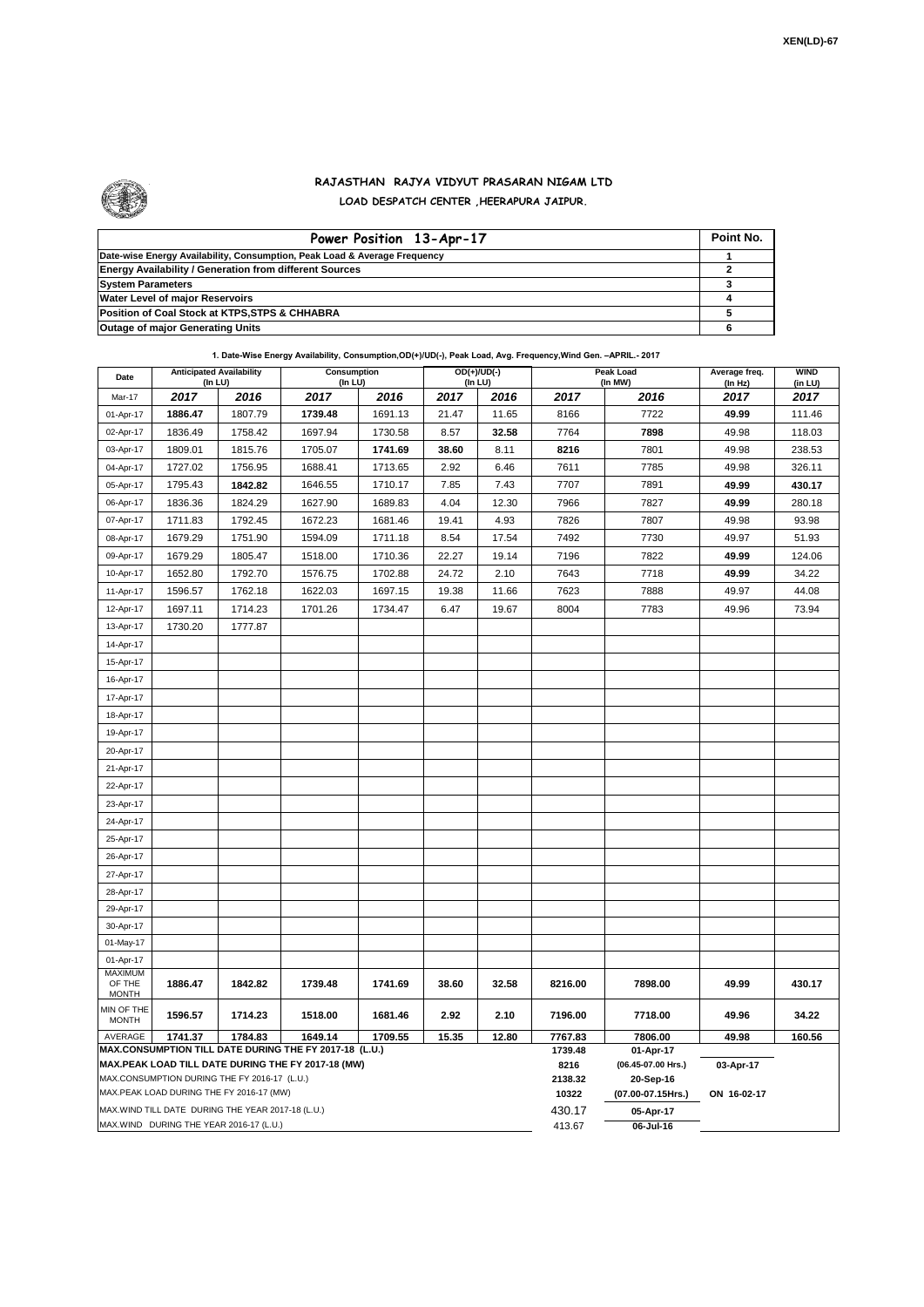

## **RAJASTHAN RAJYA VIDYUT PRASARAN NIGAM LTD LOAD DESPATCH CENTER ,HEERAPURA JAIPUR.**

| Power Position 13-Apr-17                                                  | Point No. |
|---------------------------------------------------------------------------|-----------|
| Date-wise Energy Availability, Consumption, Peak Load & Average Frequency |           |
| <b>Energy Availability / Generation from different Sources</b>            |           |
| <b>System Parameters</b>                                                  |           |
| <b>Water Level of major Reservoirs</b>                                    |           |
| Position of Coal Stock at KTPS, STPS & CHHABRA                            |           |
| <b>Outage of major Generating Units</b>                                   |           |

## **1. Date-Wise Energy Availability, Consumption,OD(+)/UD(-), Peak Load, Avg. Frequency,Wind Gen. –APRIL.- 2017**

| Date                                                                                                                            | <b>Anticipated Availability</b><br>$($ In LU $)$ |         | Consumption<br>(In LU) |         | $OD(+)/UD(-)$<br>(In LU) |       | Peak Load<br>(In MW) |                      | Average freq.<br>(In Hz) | <b>WIND</b><br>(in LU) |  |
|---------------------------------------------------------------------------------------------------------------------------------|--------------------------------------------------|---------|------------------------|---------|--------------------------|-------|----------------------|----------------------|--------------------------|------------------------|--|
| Mar-17                                                                                                                          | 2017                                             | 2016    | 2017                   | 2016    | 2017                     | 2016  | 2017                 | 2016                 | 2017                     | 2017                   |  |
| 01-Apr-17                                                                                                                       | 1886.47                                          | 1807.79 | 1739.48                | 1691.13 | 21.47                    | 11.65 | 8166                 | 7722                 | 49.99                    | 111.46                 |  |
| 02-Apr-17                                                                                                                       | 1836.49                                          | 1758.42 | 1697.94                | 1730.58 | 8.57                     | 32.58 | 7764                 | 7898                 | 49.98                    | 118.03                 |  |
| 03-Apr-17                                                                                                                       | 1809.01                                          | 1815.76 | 1705.07                | 1741.69 | 38.60                    | 8.11  | 8216                 | 7801                 | 49.98                    | 238.53                 |  |
| 04-Apr-17                                                                                                                       | 1727.02                                          | 1756.95 | 1688.41                | 1713.65 | 2.92                     | 6.46  | 7611                 | 7785                 | 49.98                    | 326.11                 |  |
| 05-Apr-17                                                                                                                       | 1795.43                                          | 1842.82 | 1646.55                | 1710.17 | 7.85                     | 7.43  | 7707                 | 7891                 | 49.99                    | 430.17                 |  |
| 06-Apr-17                                                                                                                       | 1836.36                                          | 1824.29 | 1627.90                | 1689.83 | 4.04                     | 12.30 | 7966                 | 7827                 | 49.99                    | 280.18                 |  |
| 07-Apr-17                                                                                                                       | 1711.83                                          | 1792.45 | 1672.23                | 1681.46 | 19.41                    | 4.93  | 7826                 | 7807                 | 49.98                    | 93.98                  |  |
| 08-Apr-17                                                                                                                       | 1679.29                                          | 1751.90 | 1594.09                | 1711.18 | 8.54                     | 17.54 | 7492                 | 7730                 | 49.97                    | 51.93                  |  |
| 09-Apr-17                                                                                                                       | 1679.29                                          | 1805.47 | 1518.00                | 1710.36 | 22.27                    | 19.14 | 7196                 | 7822                 | 49.99                    | 124.06                 |  |
| 10-Apr-17                                                                                                                       | 1652.80                                          | 1792.70 | 1576.75                | 1702.88 | 24.72                    | 2.10  | 7643                 | 7718                 | 49.99                    | 34.22                  |  |
| 11-Apr-17                                                                                                                       | 1596.57                                          | 1762.18 | 1622.03                | 1697.15 | 19.38                    | 11.66 | 7623                 | 7888                 | 49.97                    | 44.08                  |  |
| 12-Apr-17                                                                                                                       | 1697.11                                          | 1714.23 | 1701.26                | 1734.47 | 6.47                     | 19.67 | 8004                 | 7783                 | 49.96                    | 73.94                  |  |
| 13-Apr-17                                                                                                                       | 1730.20                                          | 1777.87 |                        |         |                          |       |                      |                      |                          |                        |  |
| 14-Apr-17                                                                                                                       |                                                  |         |                        |         |                          |       |                      |                      |                          |                        |  |
| 15-Apr-17                                                                                                                       |                                                  |         |                        |         |                          |       |                      |                      |                          |                        |  |
| 16-Apr-17                                                                                                                       |                                                  |         |                        |         |                          |       |                      |                      |                          |                        |  |
| 17-Apr-17                                                                                                                       |                                                  |         |                        |         |                          |       |                      |                      |                          |                        |  |
| 18-Apr-17                                                                                                                       |                                                  |         |                        |         |                          |       |                      |                      |                          |                        |  |
| 19-Apr-17                                                                                                                       |                                                  |         |                        |         |                          |       |                      |                      |                          |                        |  |
| 20-Apr-17                                                                                                                       |                                                  |         |                        |         |                          |       |                      |                      |                          |                        |  |
| 21-Apr-17                                                                                                                       |                                                  |         |                        |         |                          |       |                      |                      |                          |                        |  |
| 22-Apr-17                                                                                                                       |                                                  |         |                        |         |                          |       |                      |                      |                          |                        |  |
| 23-Apr-17                                                                                                                       |                                                  |         |                        |         |                          |       |                      |                      |                          |                        |  |
| 24-Apr-17                                                                                                                       |                                                  |         |                        |         |                          |       |                      |                      |                          |                        |  |
| 25-Apr-17                                                                                                                       |                                                  |         |                        |         |                          |       |                      |                      |                          |                        |  |
| 26-Apr-17                                                                                                                       |                                                  |         |                        |         |                          |       |                      |                      |                          |                        |  |
| 27-Apr-17                                                                                                                       |                                                  |         |                        |         |                          |       |                      |                      |                          |                        |  |
| 28-Apr-17                                                                                                                       |                                                  |         |                        |         |                          |       |                      |                      |                          |                        |  |
| 29-Apr-17                                                                                                                       |                                                  |         |                        |         |                          |       |                      |                      |                          |                        |  |
| 30-Apr-17                                                                                                                       |                                                  |         |                        |         |                          |       |                      |                      |                          |                        |  |
| 01-May-17                                                                                                                       |                                                  |         |                        |         |                          |       |                      |                      |                          |                        |  |
| 01-Apr-17<br><b>MAXIMUM</b>                                                                                                     |                                                  |         |                        |         |                          |       |                      |                      |                          |                        |  |
| OF THE<br><b>MONTH</b>                                                                                                          | 1886.47                                          | 1842.82 | 1739.48                | 1741.69 | 38.60                    | 32.58 | 8216.00              | 7898.00              | 49.99                    | 430.17                 |  |
| MIN OF THE<br><b>MONTH</b>                                                                                                      | 1596.57                                          | 1714.23 | 1518.00                | 1681.46 | 2.92                     | 2.10  | 7196.00              | 7718.00              | 49.96                    | 34.22                  |  |
| AVERAGE<br>1741.37<br>1784.83<br>1649.14<br>1709.55<br>15.35<br>12.80<br>MAX.CONSUMPTION TILL DATE DURING THE FY 2017-18 (L.U.) |                                                  |         |                        |         |                          |       | 7767.83<br>1739.48   | 7806.00<br>01-Apr-17 | 49.98                    | 160.56                 |  |
| MAX.PEAK LOAD TILL DATE DURING THE FY 2017-18 (MW)                                                                              |                                                  |         |                        |         |                          |       | 8216                 | (06.45-07.00 Hrs.)   | 03-Apr-17                |                        |  |
| MAX.CONSUMPTION DURING THE FY 2016-17 (L.U.)                                                                                    |                                                  |         |                        |         |                          |       | 2138.32              | 20-Sep-16            |                          |                        |  |
| MAX.PEAK LOAD DURING THE FY 2016-17 (MW)                                                                                        |                                                  |         |                        |         |                          |       |                      | (07.00-07.15Hrs.)    | ON 16-02-17              |                        |  |
| MAX.WIND TILL DATE DURING THE YEAR 2017-18 (L.U.)                                                                               |                                                  |         |                        |         |                          |       | 430.17               | 05-Apr-17            |                          |                        |  |
| MAX.WIND DURING THE YEAR 2016-17 (L.U.)                                                                                         |                                                  |         |                        |         |                          |       |                      | 06-Jul-16            |                          |                        |  |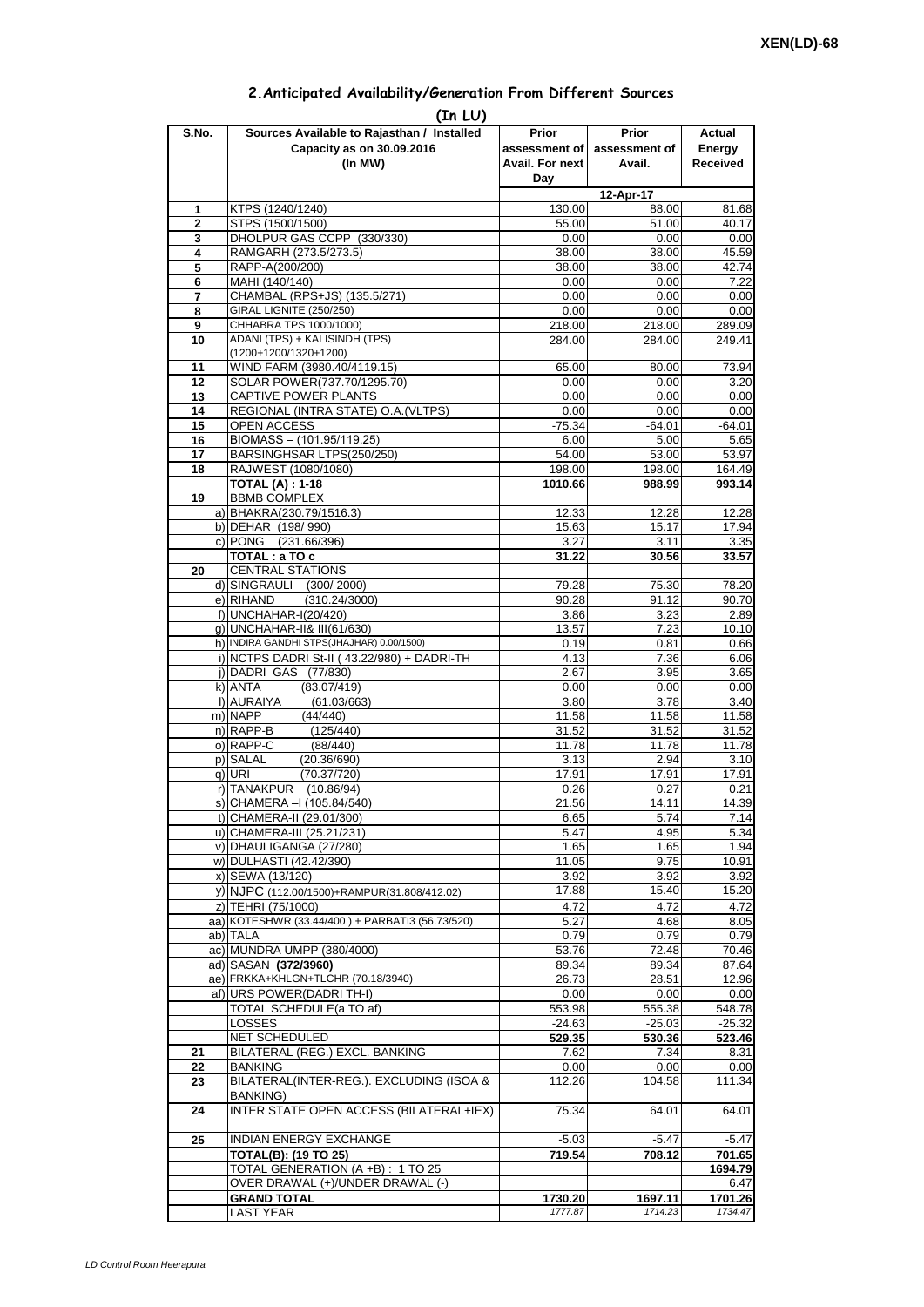| 2. Anticipated Availability/Generation From Different Sources |  |  |  |  |  |  |
|---------------------------------------------------------------|--|--|--|--|--|--|
|---------------------------------------------------------------|--|--|--|--|--|--|

| S.No. | (In LU)<br>Sources Available to Rajasthan / Installed             | Prior                  | <b>Prior</b>  | Actual             |
|-------|-------------------------------------------------------------------|------------------------|---------------|--------------------|
|       | Capacity as on 30.09.2016                                         | assessment of          | assessment of | Energy             |
|       | (In MW)                                                           | <b>Avail. For next</b> | Avail.        | <b>Received</b>    |
|       |                                                                   | Day                    |               |                    |
|       |                                                                   |                        | 12-Apr-17     |                    |
| 1     | KTPS (1240/1240)                                                  | 130.00                 | 88.00         | 81.68              |
| 2     | STPS (1500/1500)                                                  | 55.00                  | 51.00         | 40.17              |
| 3     | DHOLPUR GAS CCPP (330/330)                                        | 0.00                   | 0.00          | 0.00               |
| 4     | RAMGARH (273.5/273.5)                                             | 38.00                  | 38.00         | 45.59              |
| 5     | RAPP-A(200/200)                                                   | 38.00                  | 38.00         | 42.74              |
| 6     | MAHI (140/140)                                                    | 0.00                   | 0.00          | 7.22               |
| 7     | CHAMBAL (RPS+JS) (135.5/271)                                      | 0.00                   | 0.00          | 0.00               |
| 8     | GIRAL LIGNITE (250/250)                                           | 0.00                   | 0.00          | 0.00               |
| 9     | CHHABRA TPS 1000/1000)<br>ADANI (TPS) + KALISINDH (TPS)           | 218.00                 | 218.00        | 289.09             |
| 10    | (1200+1200/1320+1200)                                             | 284.00                 | 284.00        | 249.41             |
| 11    | WIND FARM (3980.40/4119.15)                                       | 65.00                  | 80.00         | 73.94              |
| 12    | SOLAR POWER(737.70/1295.70)                                       | 0.00                   | 0.00          | 3.20               |
| 13    | CAPTIVE POWER PLANTS                                              | 0.00                   | 0.00          | 0.00               |
| 14    | REGIONAL (INTRA STATE) O.A. (VLTPS)                               | 0.00                   | 0.00          | 0.00               |
| 15    | OPEN ACCESS                                                       | $-75.34$               | -64.01        | -64.01             |
| 16    | BIOMASS - (101.95/119.25)                                         | 6.00                   | 5.00          | 5.65               |
| 17    | BARSINGHSAR LTPS(250/250)                                         | 54.00                  | 53.00         | 53.97              |
| 18    | RAJWEST (1080/1080)                                               | 198.00                 | 198.00        | 164.49             |
|       | <b>TOTAL (A): 1-18</b>                                            | 1010.66                | 988.99        | 993.14             |
| 19    | <b>BBMB COMPLEX</b>                                               |                        |               |                    |
|       | a) BHAKRA(230.79/1516.3)                                          | 12.33                  | 12.28         | 12.28              |
|       | b) DEHAR (198/990)                                                | 15.63                  | 15.17         | 17.94              |
|       | c) PONG (231.66/396)                                              | 3.27                   | 3.11          | 3.35               |
|       | TOTAL: a TO c                                                     | 31.22                  | 30.56         | 33.57              |
| 20    | <b>CENTRAL STATIONS</b>                                           |                        |               |                    |
|       | d) SINGRAULI<br>(300/2000)                                        | 79.28                  | 75.30         | 78.20              |
|       | e) RIHAND<br>(310.24/3000)<br>f) UNCHAHAR-I(20/420)               | 90.28                  | 91.12<br>3.23 | 90.70              |
|       | g) UNCHAHAR-II& III(61/630)                                       | 3.86<br>13.57          | 7.23          | 2.89<br>10.10      |
|       | h) INDIRA GANDHI STPS(JHAJHAR) 0.00/1500)                         | 0.19                   | 0.81          | 0.66               |
|       | i) NCTPS DADRI St-II (43.22/980) + DADRI-TH                       | 4.13                   | 7.36          | 6.06               |
|       | i) DADRI GAS (77/830)                                             | 2.67                   | 3.95          | 3.65               |
|       | k) ANTA<br>(83.07/419)                                            | 0.00                   | 0.00          | 0.00               |
|       | I) AURAIYA<br>(61.03/663)                                         | 3.80                   | 3.78          | 3.40               |
|       | m) NAPP<br>(44/440)                                               | 11.58                  | 11.58         | 11.58              |
|       | n) RAPP-B<br>(125/440)                                            | 31.52                  | 31.52         | 31.52              |
|       | o) RAPP-C<br>(88/440)                                             | 11.78                  | 11.78         | 11.78              |
|       | p) SALAL<br>(20.36/690)                                           | 3.13                   | 2.94          | 3.10               |
|       | g) URI<br>(70.37/720)                                             | 17.91                  | 17.91         | 17.91              |
|       | r) TANAKPUR<br>(10.86/94)                                         | 0.26                   | 0.27          | 0.21               |
|       | s) CHAMERA - (105.84/540)                                         | 21.56                  | 14.11         | 14.39              |
|       | t) CHAMERA-II (29.01/300)                                         | 6.65                   | 5.74          | 7.14               |
|       | u) CHAMERA-III (25.21/231)                                        | 5.47                   | 4.95          | 5.34               |
|       | v) DHAULIGANGA (27/280)                                           | 1.65                   | 1.65          | 1.94               |
|       | w) DULHASTI (42.42/390)                                           | 11.05                  | 9.75          | 10.91              |
|       | x) SEWA (13/120)                                                  | 3.92<br>17.88          | 3.92<br>15.40 | 3.92<br>15.20      |
|       | y) NJPC (112.00/1500)+RAMPUR(31.808/412.02)<br>z) TEHRI (75/1000) |                        |               |                    |
|       | aa) KOTESHWR (33.44/400) + PARBATI3 (56.73/520)                   | 4.72<br>5.27           | 4.72<br>4.68  | 4.72<br>8.05       |
|       | ab) TALA                                                          | 0.79                   | 0.79          | 0.79               |
|       | ac) MUNDRA UMPP (380/4000)                                        | 53.76                  | 72.48         | 70.46              |
|       | ad) SASAN (372/3960)                                              | 89.34                  | 89.34         | 87.64              |
|       | ae) FRKKA+KHLGN+TLCHR (70.18/3940)                                | 26.73                  | 28.51         | 12.96              |
|       | af) URS POWER(DADRI TH-I)                                         | 0.00                   | 0.00          | 0.00               |
|       | TOTAL SCHEDULE(a TO af)                                           | 553.98                 | 555.38        | 548.78             |
|       | LOSSES                                                            | $-24.63$               | $-25.03$      | $-25.32$           |
|       | NET SCHEDULED                                                     | 529.35                 | 530.36        | 523.46             |
| 21    | BILATERAL (REG.) EXCL. BANKING                                    | 7.62                   | 7.34          | 8.31               |
| 22    | <b>BANKING</b>                                                    | 0.00                   | 0.00          | 0.00               |
| 23    | BILATERAL(INTER-REG.). EXCLUDING (ISOA &                          | 112.26                 | 104.58        | 111.34             |
|       | <b>BANKING)</b>                                                   |                        |               |                    |
| 24    | INTER STATE OPEN ACCESS (BILATERAL+IEX)                           | 75.34                  | 64.01         | 64.01              |
|       |                                                                   |                        |               |                    |
| 25    | INDIAN ENERGY EXCHANGE                                            | $-5.03$                | $-5.47$       | $-5.47$            |
|       | <b>TOTAL(B): (19 TO 25)</b>                                       | 719.54                 | 708.12        | 701.65             |
|       | TOTAL GENERATION (A +B) : 1 TO 25                                 |                        |               | 1694.79            |
|       | OVER DRAWAL (+)/UNDER DRAWAL (-)                                  |                        |               | 6.47               |
|       | <b>GRAND TOTAL</b>                                                | 1730.20                | 1697.11       | 1701.26<br>1734.47 |
|       | <b>LAST YEAR</b>                                                  | 1777.87                | 1714.23       |                    |